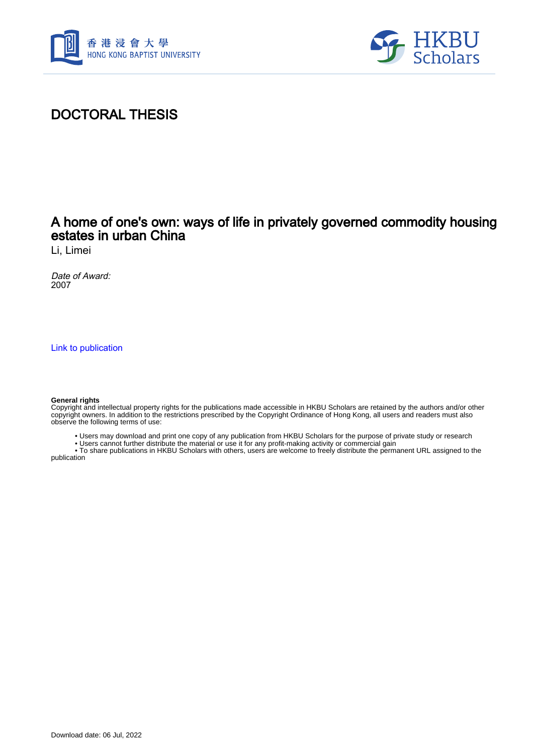



# DOCTORAL THESIS

## A home of one's own: ways of life in privately governed commodity housing estates in urban China

Li, Limei

Date of Award: 2007

[Link to publication](https://scholars.hkbu.edu.hk/en/studentTheses/11f9691a-1a82-44b1-9c22-0e853613c9e0)

#### **General rights**

Copyright and intellectual property rights for the publications made accessible in HKBU Scholars are retained by the authors and/or other copyright owners. In addition to the restrictions prescribed by the Copyright Ordinance of Hong Kong, all users and readers must also observe the following terms of use:

• Users may download and print one copy of any publication from HKBU Scholars for the purpose of private study or research

• Users cannot further distribute the material or use it for any profit-making activity or commercial gain

 • To share publications in HKBU Scholars with others, users are welcome to freely distribute the permanent URL assigned to the publication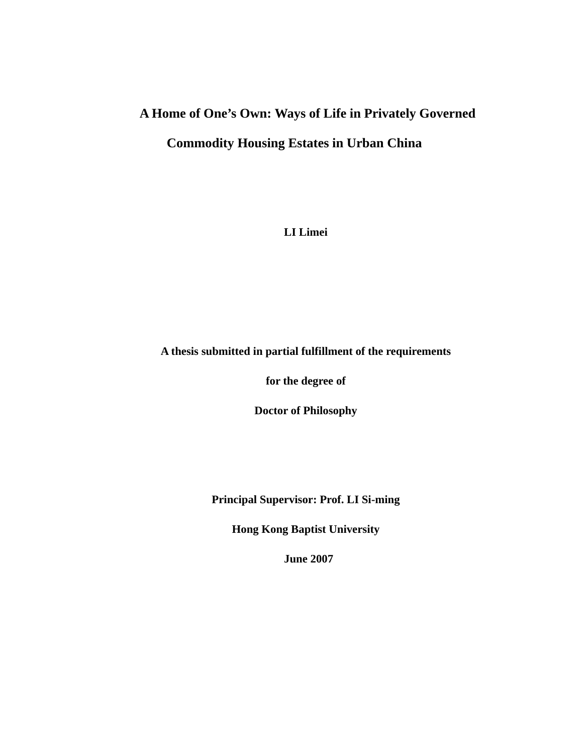# **A Home of One's Own: Ways of Life in Privately Governed Commodity Housing Estates in Urban China**

**LI Limei** 

### **A thesis submitted in partial fulfillment of the requirements**

**for the degree of** 

**Doctor of Philosophy** 

**Principal Supervisor: Prof. LI Si-ming** 

**Hong Kong Baptist University** 

 **June 2007**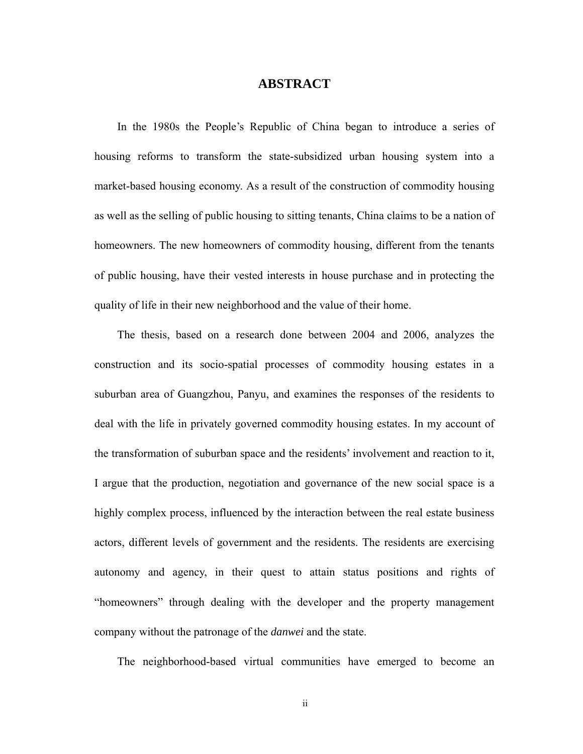#### **ABSTRACT**

In the 1980s the People's Republic of China began to introduce a series of housing reforms to transform the state-subsidized urban housing system into a market-based housing economy. As a result of the construction of commodity housing as well as the selling of public housing to sitting tenants, China claims to be a nation of homeowners. The new homeowners of commodity housing, different from the tenants of public housing, have their vested interests in house purchase and in protecting the quality of life in their new neighborhood and the value of their home.

The thesis, based on a research done between 2004 and 2006, analyzes the construction and its socio-spatial processes of commodity housing estates in a suburban area of Guangzhou, Panyu, and examines the responses of the residents to deal with the life in privately governed commodity housing estates. In my account of the transformation of suburban space and the residents' involvement and reaction to it, I argue that the production, negotiation and governance of the new social space is a highly complex process, influenced by the interaction between the real estate business actors, different levels of government and the residents. The residents are exercising autonomy and agency, in their quest to attain status positions and rights of "homeowners" through dealing with the developer and the property management company without the patronage of the *danwei* and the state.

The neighborhood-based virtual communities have emerged to become an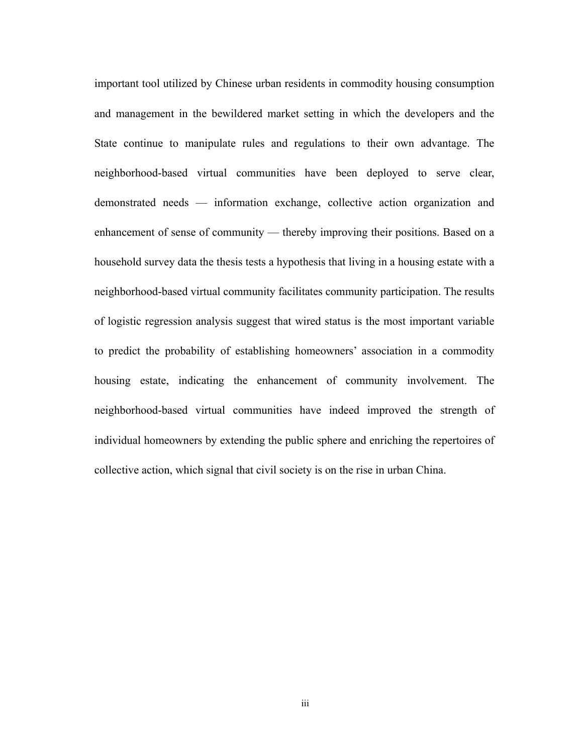important tool utilized by Chinese urban residents in commodity housing consumption and management in the bewildered market setting in which the developers and the State continue to manipulate rules and regulations to their own advantage. The neighborhood-based virtual communities have been deployed to serve clear, demonstrated needs — information exchange, collective action organization and enhancement of sense of community — thereby improving their positions. Based on a household survey data the thesis tests a hypothesis that living in a housing estate with a neighborhood-based virtual community facilitates community participation. The results of logistic regression analysis suggest that wired status is the most important variable to predict the probability of establishing homeowners' association in a commodity housing estate, indicating the enhancement of community involvement. The neighborhood-based virtual communities have indeed improved the strength of individual homeowners by extending the public sphere and enriching the repertoires of collective action, which signal that civil society is on the rise in urban China.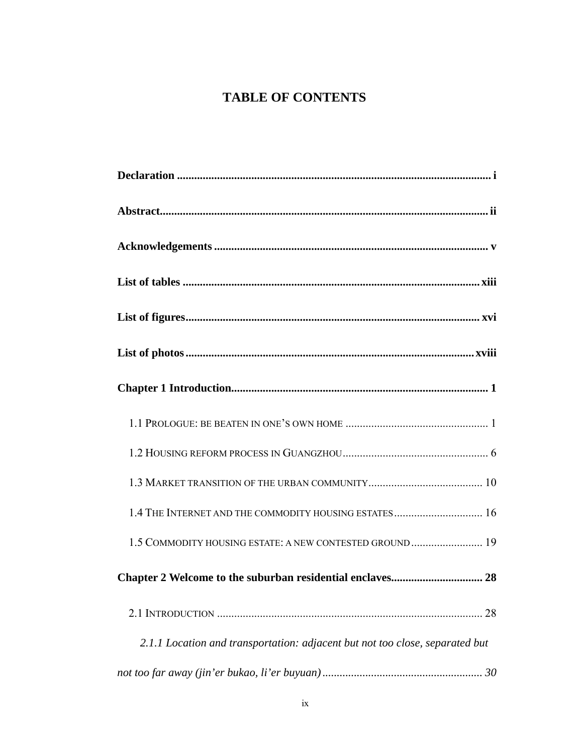# **TABLE OF CONTENTS**

| 1.4 THE INTERNET AND THE COMMODITY HOUSING ESTATES 16                        |
|------------------------------------------------------------------------------|
| 1.5 COMMODITY HOUSING ESTATE: A NEW CONTESTED GROUND 19                      |
| Chapter 2 Welcome to the suburban residential enclaves 28                    |
|                                                                              |
| 2.1.1 Location and transportation: adjacent but not too close, separated but |
|                                                                              |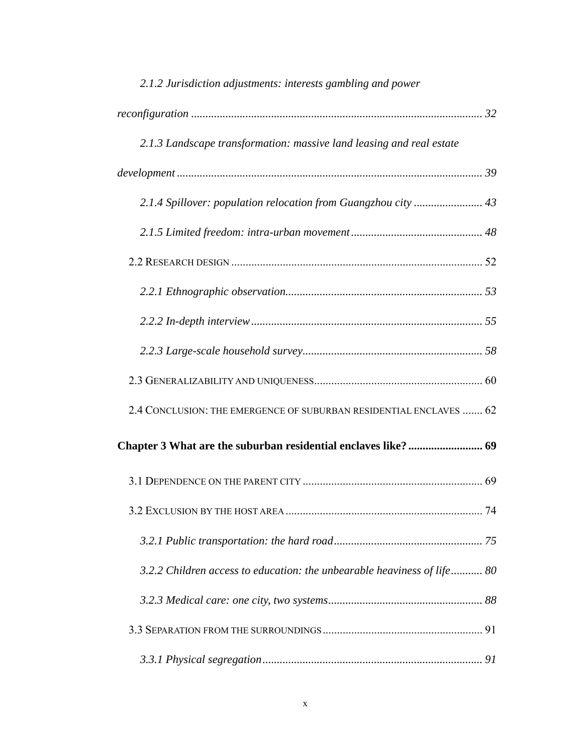| 2.1.2 Jurisdiction adjustments: interests gambling and power            |  |
|-------------------------------------------------------------------------|--|
|                                                                         |  |
| 2.1.3 Landscape transformation: massive land leasing and real estate    |  |
|                                                                         |  |
|                                                                         |  |
|                                                                         |  |
|                                                                         |  |
|                                                                         |  |
|                                                                         |  |
|                                                                         |  |
|                                                                         |  |
| 2.4 CONCLUSION: THE EMERGENCE OF SUBURBAN RESIDENTIAL ENCLAVES  62      |  |
|                                                                         |  |
|                                                                         |  |
|                                                                         |  |
|                                                                         |  |
| 3.2.2 Children access to education: the unbearable heaviness of life 80 |  |
|                                                                         |  |
|                                                                         |  |
|                                                                         |  |

#### x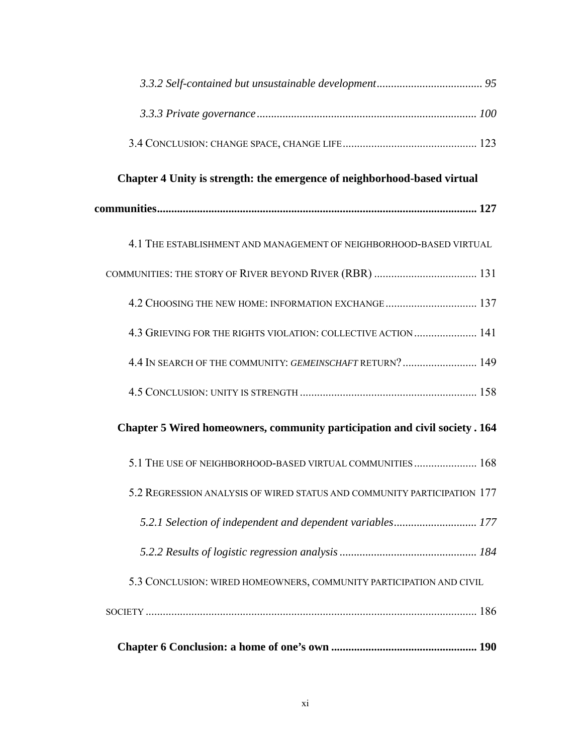| Chapter 4 Unity is strength: the emergence of neighborhood-based virtual    |  |
|-----------------------------------------------------------------------------|--|
|                                                                             |  |
| 4.1 THE ESTABLISHMENT AND MANAGEMENT OF NEIGHBORHOOD-BASED VIRTUAL          |  |
|                                                                             |  |
| 4.2 CHOOSING THE NEW HOME: INFORMATION EXCHANGE 137                         |  |
| 4.3 GRIEVING FOR THE RIGHTS VIOLATION: COLLECTIVE ACTION  141               |  |
| 4.4 IN SEARCH OF THE COMMUNITY: GEMEINSCHAFT RETURN? 149                    |  |
|                                                                             |  |
| Chapter 5 Wired homeowners, community participation and civil society . 164 |  |
| 5.1 THE USE OF NEIGHBORHOOD-BASED VIRTUAL COMMUNITIES  168                  |  |
| 5.2 REGRESSION ANALYSIS OF WIRED STATUS AND COMMUNITY PARTICIPATION 177     |  |
|                                                                             |  |
|                                                                             |  |
| 5.3 CONCLUSION: WIRED HOMEOWNERS, COMMUNITY PARTICIPATION AND CIVIL         |  |
|                                                                             |  |
|                                                                             |  |
|                                                                             |  |